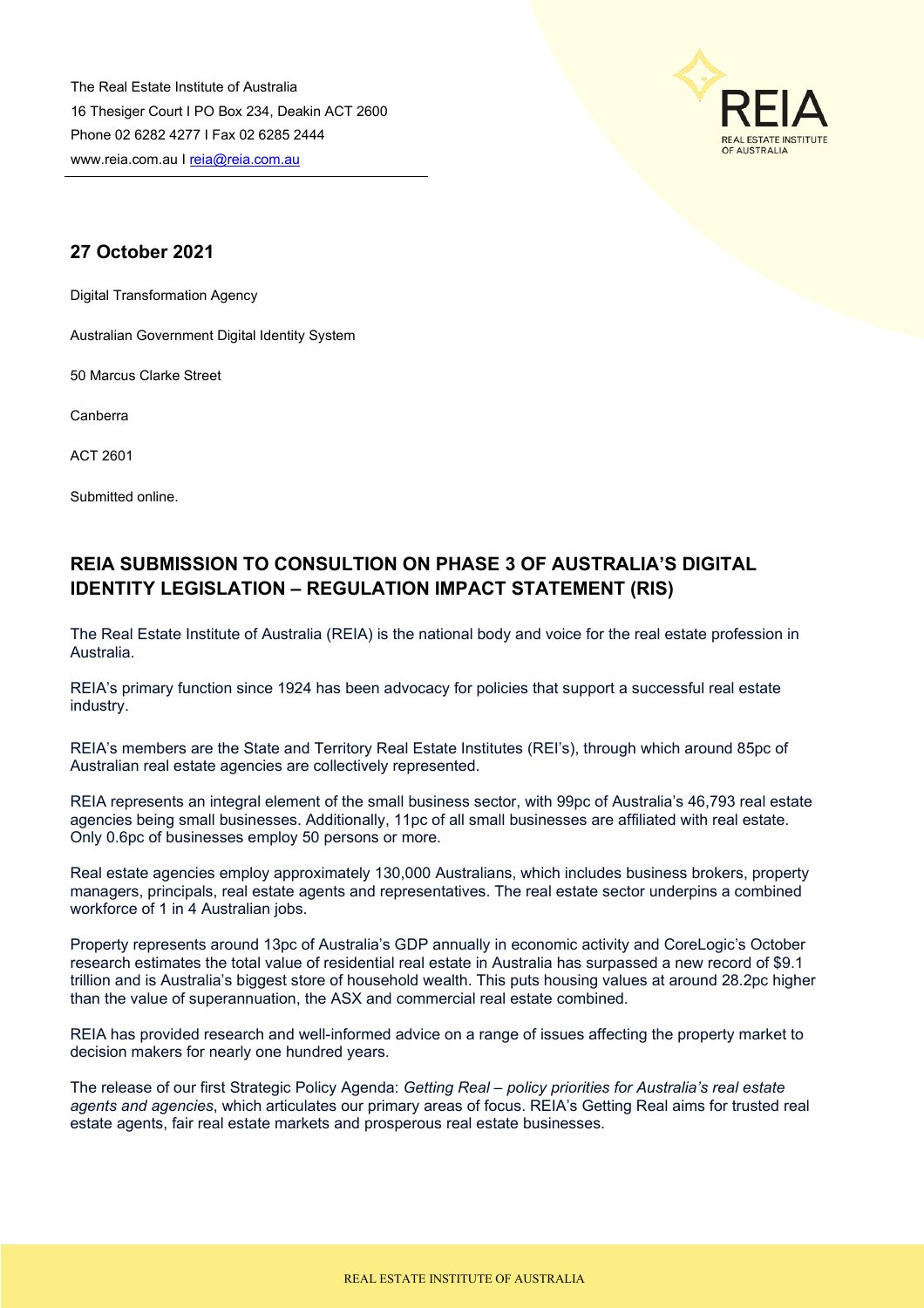The Real Estate Institute of Australia 16 Thesiger Court I PO Box 234, Deakin ACT 2600 Phone 02 6282 4277 I Fax 02 6285 2444 www.reia.com.au I [reia@reia.com.au](mailto:reia@reia.com.au)



# **27 October 2021**

Digital Transformation Agency

Australian Government Digital Identity System

50 Marcus Clarke Street

Canberra

ACT 2601

Submitted online.

# **REIA SUBMISSION TO CONSULTION ON PHASE 3 OF AUSTRALIA'S DIGITAL IDENTITY LEGISLATION – REGULATION IMPACT STATEMENT (RIS)**

The Real Estate Institute of Australia (REIA) is the national body and voice for the real estate profession in Australia.

REIA's primary function since 1924 has been advocacy for policies that support a successful real estate industry.

REIA's members are the State and Territory Real Estate Institutes (REI's), through which around 85pc of Australian real estate agencies are collectively represented.

REIA represents an integral element of the small business sector, with 99pc of Australia's 46,793 real estate agencies being small businesses. Additionally, 11pc of all small businesses are affiliated with real estate. Only 0.6pc of businesses employ 50 persons or more.

Real estate agencies employ approximately 130,000 Australians, which includes business brokers, property managers, principals, real estate agents and representatives. The real estate sector underpins a combined workforce of 1 in 4 Australian jobs.

Property represents around 13pc of Australia's GDP annually in economic activity and CoreLogic's October research estimates the total value of residential real estate in Australia has surpassed a new record of \$9.1 trillion and is Australia's biggest store of household wealth. This puts housing values at around 28.2pc higher than the value of superannuation, the ASX and commercial real estate combined.

REIA has provided research and well-informed advice on a range of issues affecting the property market to decision makers for nearly one hundred years.

The release of our first Strategic Policy Agenda: *Getting Real – policy priorities for Australia's real estate agents and agencies*, which articulates our primary areas of focus. REIA's Getting Real aims for trusted real estate agents, fair real estate markets and prosperous real estate businesses.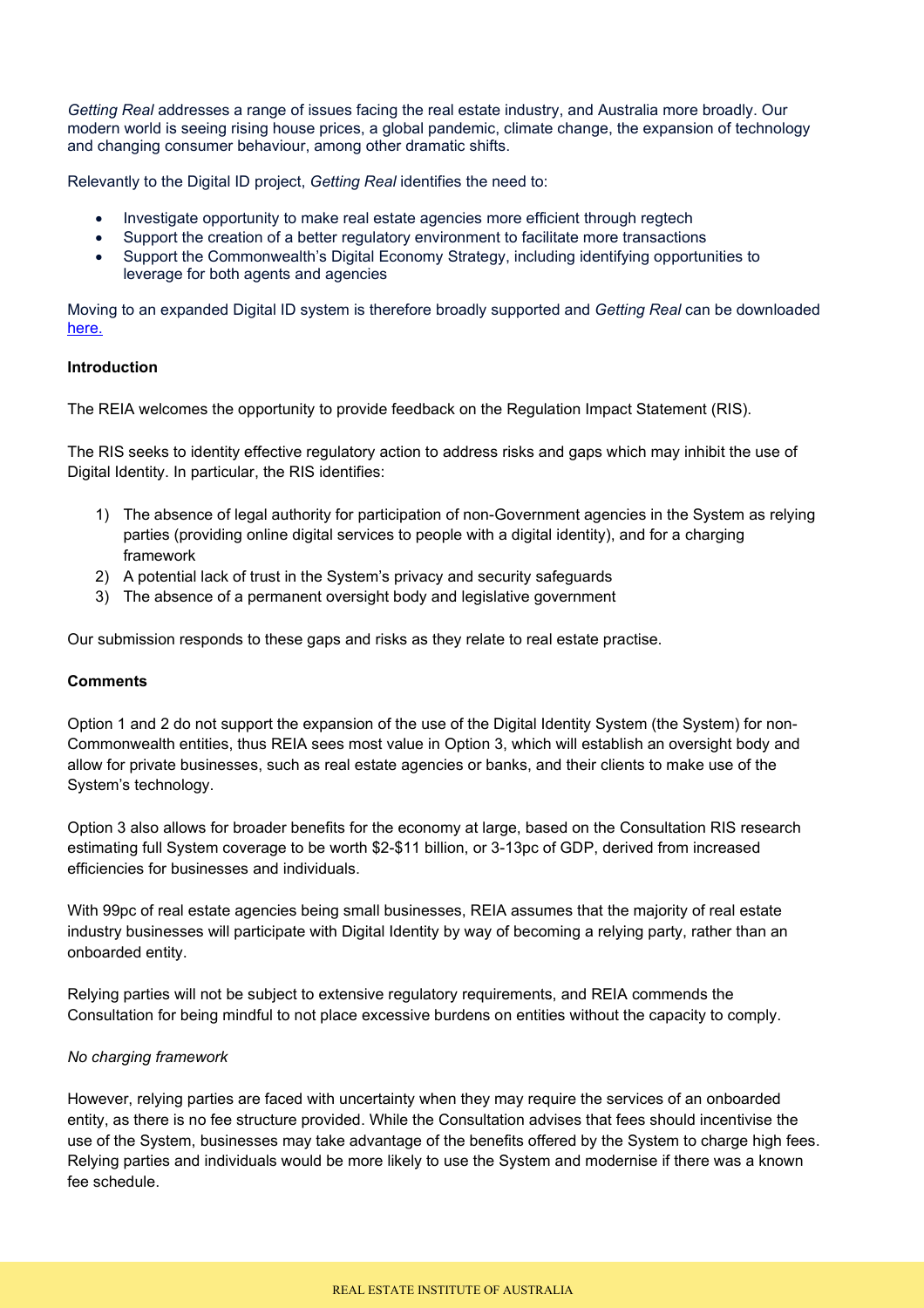*Getting Real* addresses a range of issues facing the real estate industry, and Australia more broadly. Our modern world is seeing rising house prices, a global pandemic, climate change, the expansion of technology and changing consumer behaviour, among other dramatic shifts.

Relevantly to the Digital ID project, *Getting Real* identifies the need to:

- Investigate opportunity to make real estate agencies more efficient through regtech
- Support the creation of a better regulatory environment to facilitate more transactions
- Support the Commonwealth's Digital Economy Strategy, including identifying opportunities to leverage for both agents and agencies

Moving to an expanded Digital ID system is therefore broadly supported and *Getting Real* can be downloaded [here.](https://reia.asn.au/wp-content/uploads/2021/10/Getting-Real-E1.pdf)

## **Introduction**

The REIA welcomes the opportunity to provide feedback on the Regulation Impact Statement (RIS).

The RIS seeks to identity effective regulatory action to address risks and gaps which may inhibit the use of Digital Identity. In particular, the RIS identifies:

- 1) The absence of legal authority for participation of non-Government agencies in the System as relying parties (providing online digital services to people with a digital identity), and for a charging framework
- 2) A potential lack of trust in the System's privacy and security safeguards
- 3) The absence of a permanent oversight body and legislative government

Our submission responds to these gaps and risks as they relate to real estate practise.

#### **Comments**

Option 1 and 2 do not support the expansion of the use of the Digital Identity System (the System) for non-Commonwealth entities, thus REIA sees most value in Option 3, which will establish an oversight body and allow for private businesses, such as real estate agencies or banks, and their clients to make use of the System's technology.

Option 3 also allows for broader benefits for the economy at large, based on the Consultation RIS research estimating full System coverage to be worth \$2-\$11 billion, or 3-13pc of GDP, derived from increased efficiencies for businesses and individuals.

With 99pc of real estate agencies being small businesses, REIA assumes that the majority of real estate industry businesses will participate with Digital Identity by way of becoming a relying party, rather than an onboarded entity.

Relying parties will not be subject to extensive regulatory requirements, and REIA commends the Consultation for being mindful to not place excessive burdens on entities without the capacity to comply.

## *No charging framework*

However, relying parties are faced with uncertainty when they may require the services of an onboarded entity, as there is no fee structure provided. While the Consultation advises that fees should incentivise the use of the System, businesses may take advantage of the benefits offered by the System to charge high fees. Relying parties and individuals would be more likely to use the System and modernise if there was a known fee schedule.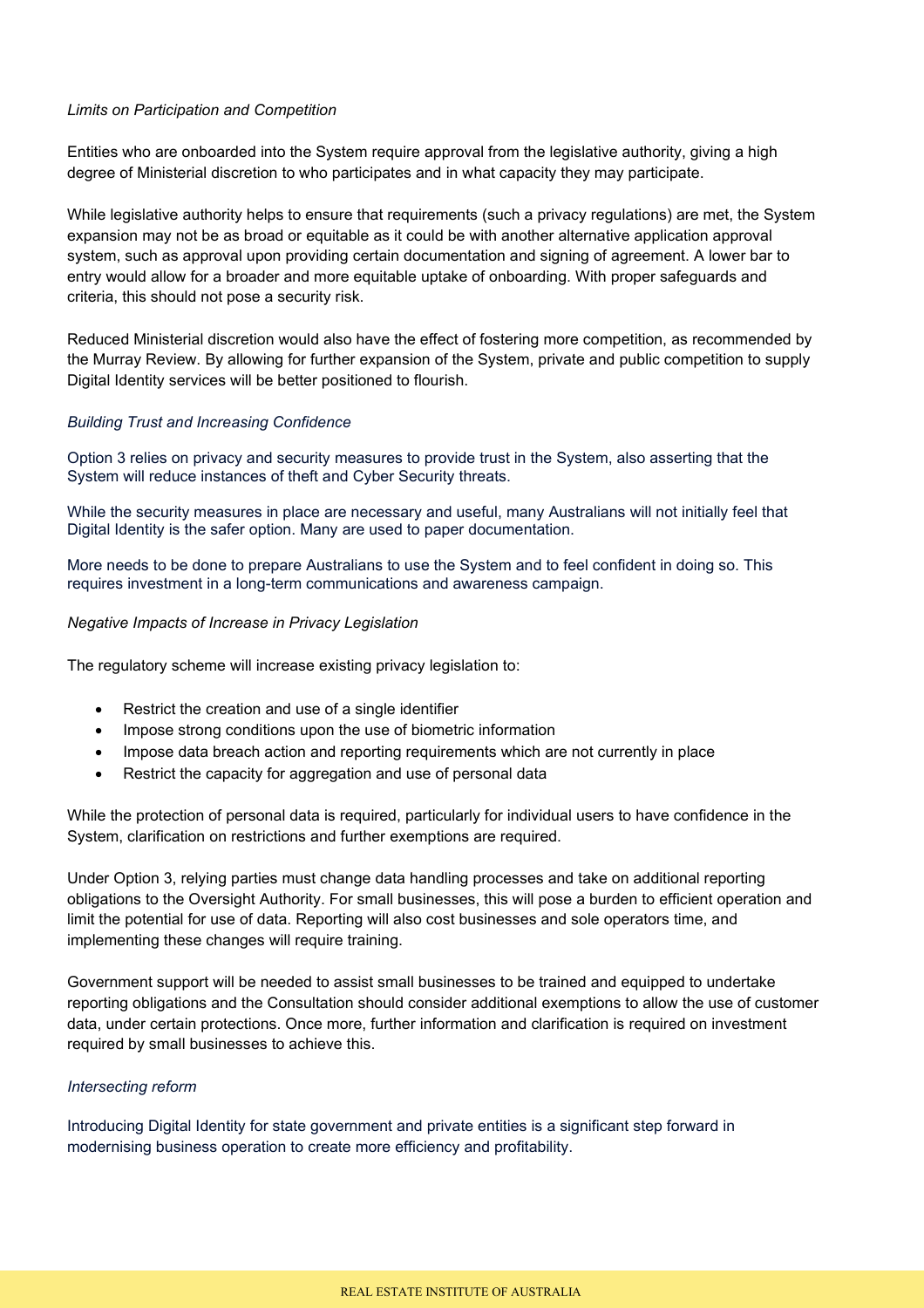#### *Limits on Participation and Competition*

Entities who are onboarded into the System require approval from the legislative authority, giving a high degree of Ministerial discretion to who participates and in what capacity they may participate.

While legislative authority helps to ensure that requirements (such a privacy regulations) are met, the System expansion may not be as broad or equitable as it could be with another alternative application approval system, such as approval upon providing certain documentation and signing of agreement. A lower bar to entry would allow for a broader and more equitable uptake of onboarding. With proper safeguards and criteria, this should not pose a security risk.

Reduced Ministerial discretion would also have the effect of fostering more competition, as recommended by the Murray Review. By allowing for further expansion of the System, private and public competition to supply Digital Identity services will be better positioned to flourish.

#### *Building Trust and Increasing Confidence*

Option 3 relies on privacy and security measures to provide trust in the System, also asserting that the System will reduce instances of theft and Cyber Security threats.

While the security measures in place are necessary and useful, many Australians will not initially feel that Digital Identity is the safer option. Many are used to paper documentation.

More needs to be done to prepare Australians to use the System and to feel confident in doing so. This requires investment in a long-term communications and awareness campaign.

#### *Negative Impacts of Increase in Privacy Legislation*

The regulatory scheme will increase existing privacy legislation to:

- Restrict the creation and use of a single identifier
- Impose strong conditions upon the use of biometric information
- Impose data breach action and reporting requirements which are not currently in place
- Restrict the capacity for aggregation and use of personal data

While the protection of personal data is required, particularly for individual users to have confidence in the System, clarification on restrictions and further exemptions are required.

Under Option 3, relying parties must change data handling processes and take on additional reporting obligations to the Oversight Authority. For small businesses, this will pose a burden to efficient operation and limit the potential for use of data. Reporting will also cost businesses and sole operators time, and implementing these changes will require training.

Government support will be needed to assist small businesses to be trained and equipped to undertake reporting obligations and the Consultation should consider additional exemptions to allow the use of customer data, under certain protections. Once more, further information and clarification is required on investment required by small businesses to achieve this.

## *Intersecting reform*

Introducing Digital Identity for state government and private entities is a significant step forward in modernising business operation to create more efficiency and profitability.